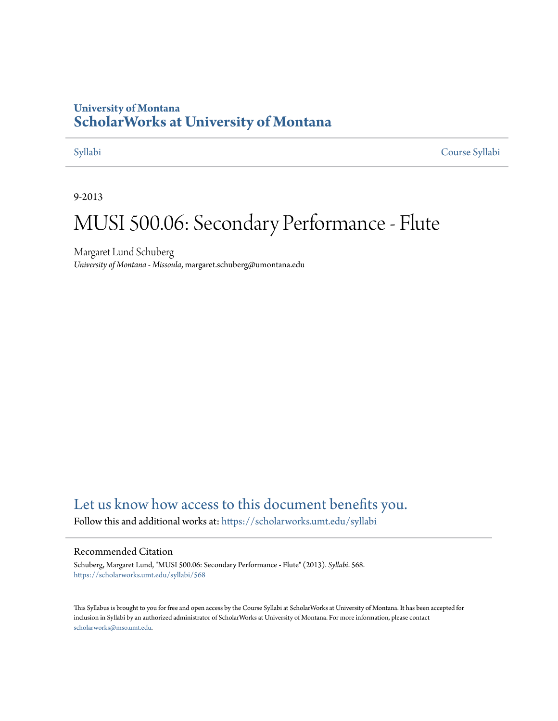## **University of Montana [ScholarWorks at University of Montana](https://scholarworks.umt.edu?utm_source=scholarworks.umt.edu%2Fsyllabi%2F568&utm_medium=PDF&utm_campaign=PDFCoverPages)**

[Syllabi](https://scholarworks.umt.edu/syllabi?utm_source=scholarworks.umt.edu%2Fsyllabi%2F568&utm_medium=PDF&utm_campaign=PDFCoverPages) [Course Syllabi](https://scholarworks.umt.edu/course_syllabi?utm_source=scholarworks.umt.edu%2Fsyllabi%2F568&utm_medium=PDF&utm_campaign=PDFCoverPages)

9-2013

# MUSI 500.06: Secondary Performance - Flute

Margaret Lund Schuberg *University of Montana - Missoula*, margaret.schuberg@umontana.edu

# [Let us know how access to this document benefits you.](https://goo.gl/forms/s2rGfXOLzz71qgsB2)

Follow this and additional works at: [https://scholarworks.umt.edu/syllabi](https://scholarworks.umt.edu/syllabi?utm_source=scholarworks.umt.edu%2Fsyllabi%2F568&utm_medium=PDF&utm_campaign=PDFCoverPages)

#### Recommended Citation

Schuberg, Margaret Lund, "MUSI 500.06: Secondary Performance - Flute" (2013). *Syllabi*. 568. [https://scholarworks.umt.edu/syllabi/568](https://scholarworks.umt.edu/syllabi/568?utm_source=scholarworks.umt.edu%2Fsyllabi%2F568&utm_medium=PDF&utm_campaign=PDFCoverPages)

This Syllabus is brought to you for free and open access by the Course Syllabi at ScholarWorks at University of Montana. It has been accepted for inclusion in Syllabi by an authorized administrator of ScholarWorks at University of Montana. For more information, please contact [scholarworks@mso.umt.edu](mailto:scholarworks@mso.umt.edu).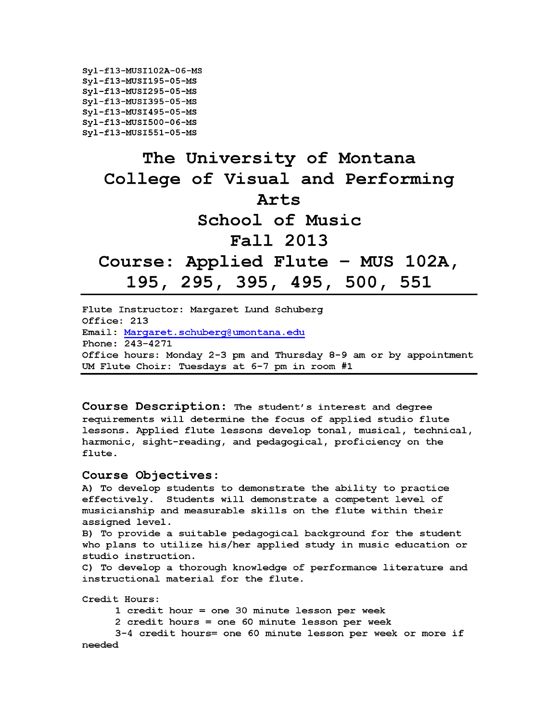```
Syl-f13-MUSI102A-06-MS
Syl-f13-MUSI195-05-MS
Syl-f13-MUSI295-05-MS
Syl-f13-MUSI395-05-MS
Syl-f13-MUSI495-05-MS
Syl-f13-MUSI500-06-MS
Syl-f13-MUSI551-05-MS
```
# **The University of Montana College of Visual and Performing Arts School of Music Fall 2013 Course: Applied Flute - MUS 102A, <sup>195</sup>***,* **295, 395***,* **495, 500, 551**

**Flute Instructor: Margaret Lund Schuberg Office: 213 Email: Margaret.schuberg@umontana.edu Phone: 243-4271 Office hours: Monday 2-3 pm and Thursday 8-9 am or by appointment UM Flute Choir: Tuesdays at 6-7 pm in room #1**

**Course Description: The student's interest and degree requirements will determine the focus of applied studio flute lessons. Applied flute lessons develop tonal, musical, technical, harmonic, sight-reading, and pedagogical, proficiency on the flute.**

#### **Course Objectives:**

**A) To develop students to demonstrate the ability to practice effectively. Students will demonstrate a competent level of musicianship and measurable skills on the flute within their assigned level.**

**B) To provide a suitable pedagogical background for the student who plans to utilize his/her applied study in music education or studio instruction.**

**C) To develop a thorough knowledge of performance literature and instructional material for the flute.**

**Credit Hours:**

**1 credit hour = one 30 minute lesson per week**

**2 credit hours = one 60 minute lesson per week**

**3-4 credit hours= one 60 minute lesson per week or more if needed**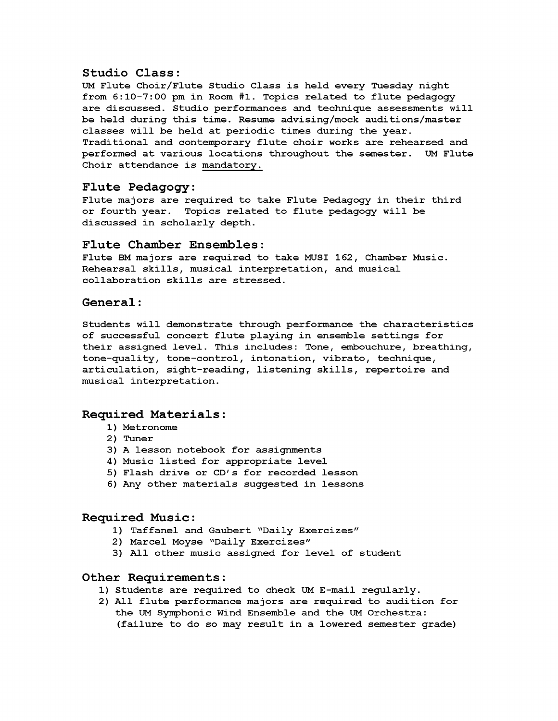#### **Studio Class:**

**UM Flute Choir/Flute Studio Class is held every Tuesday night from 6:10-7:00 pm in Room #1. Topics related to flute pedagogy are discussed. Studio performances and technique assessments will be held during this time. Resume advising/mock auditions/master classes will be held at periodic times during the year. Traditional and contemporary flute choir works are rehearsed and performed at various locations throughout the semester. UM Flute Choir attendance is mandatory.**

#### **Flute Pedagogy:**

**Flute majors are required to take Flute Pedagogy in their third or fourth year. Topics related to flute pedagogy will be discussed in scholarly depth.**

#### **Flute Chamber Ensembles:**

**Flute BM majors are required to take MUSI 162, Chamber Music. Rehearsal skills, musical interpretation, and musical collaboration skills are stressed.**

#### **General:**

**Students will demonstrate through performance the characteristics of successful concert flute playing in ensemble settings for their assigned level. This includes: Tone, embouchure, breathing, tone-quality, tone-control, intonation, vibrato, technique, articulation, sight-reading, listening skills, repertoire and musical interpretation.**

#### **Required Materials:**

- **1) Metronome**
- **2) Tuner**
- **3) A lesson notebook for assignments**
- **4) Music listed for appropriate level**
- **5) Flash drive or CD's for recorded lesson**
- **6) Any other materials suggested in lessons**

#### **Required Music:**

- **1) Taffanel and Gaubert "Daily Exercizes"**
- **2) Marcel Moyse "Daily Exercizes"**
- **3) All other music assigned for level of student**

#### **Other Requirements:**

- **1) Students are required to check UM E-mail regularly.**
- **2) All flute performance majors are required to audition for the UM Symphonic Wind Ensemble and the UM Orchestra: (failure to do so may result in a lowered semester grade)**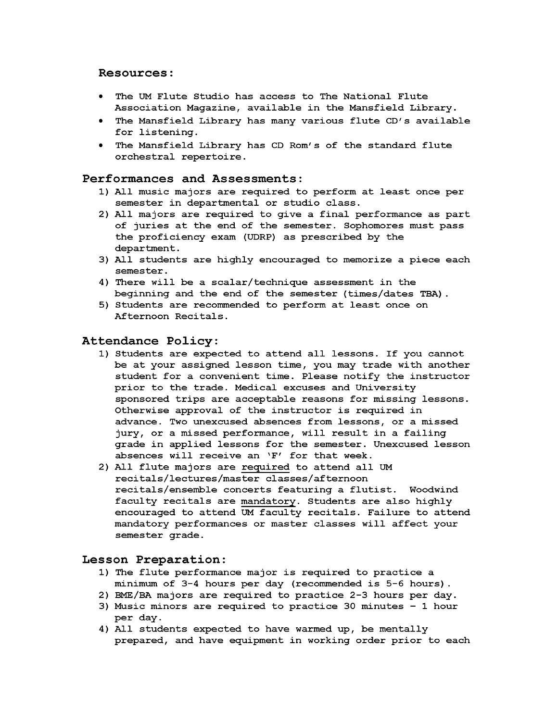#### **Resources:**

- **The UM Flute Studio has access to The National Flute Association Magazine, available in the Mansfield Library.**
- **The Mansfield Library has many various flute CD's available for listening.**
- **The Mansfield Library has CD Rom's of the standard flute orchestral repertoire.**

#### **Performances and Assessments:**

- **1) All music majors are required to perform at least once per semester in departmental or studio class.**
- **2) All majors are required to give a final performance as part of juries at the end of the semester. Sophomores must pass the proficiency exam (UDRP) as prescribed by the department.**
- **3) All students are highly encouraged to memorize a piece each semester.**
- **4) There will be a scalar/technique assessment in the beginning and the end of the semester (times/dates TBA) .**
- **5) Students are recommended to perform at least once on Afternoon Recitals.**

#### **Attendance Policy:**

- **1) Students are expected to attend all lessons. If you cannot be at your assigned lesson time, you may trade with another student for a convenient time. Please notify the instructor prior to the trade. Medical excuses and University sponsored trips are acceptable reasons for missing lessons. Otherwise approval of the instructor is required in advance. Two unexcused absences from lessons, or a missed jury, or a missed performance, will result in a failing grade in applied lessons for the semester. Unexcused lesson absences will receive an 'F' for that week.**
- **2) All flute majors are required to attend all UM recitals/lectures/master classes/afternoon recitals/ensemble concerts featuring a flutist. Woodwind faculty recitals are mandatory. Students are also highly encouraged to attend UM faculty recitals. Failure to attend mandatory performances or master classes will affect your semester grade.**

#### **Lesson Preparation:**

- **1) The flute performance major is required to practice a minimum of 3-4 hours per day (recommended is 5-6 hours).**
- **2) EME/BA majors are required to practice 2-3 hours per day.**
- **3) Music minors are required to practice 30 minutes 1 hour** per day.
- **4) All students expected to have warmed up, be mentally prepared, and have equipment in working order prior to each**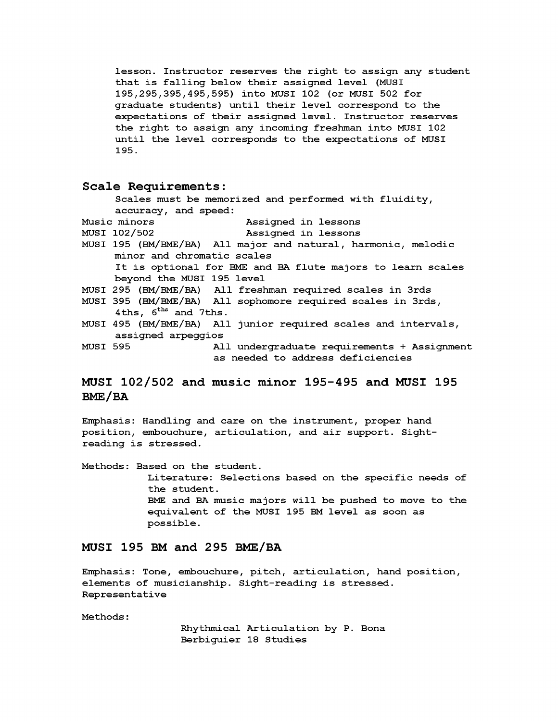**lesson. Instructor reserves the right to assign any student that is falling below their assigned level (MUSI 195,295,395,495,595) into MUSI 102 (or MUSI 502 for graduate students) until their level correspond to the expectations of their assigned level. Instructor reserves the right to assign any incoming freshman into MUSI 102 until the level corresponds to the expectations of MUSI 195.**

#### **Scale Requirements:**

**Scales must be memorized and performed with fluidity, accuracy, and speed: Music minors Assigned in lessons MUSI 102/502 Assigned in lessons MUSI 195 (BM/EME/BA) All major and natural, harmonic, melodic minor and chromatic scales It is optional for BME and BA flute majors to learn scales beyond the MUSI 195 level MUSI 295 (BM/EME/BA) All freshman required scales in 3rds MUSI 395 (BM/EME/BA) All sophomore required scales in 3rds, 4ths, 6ths and 7ths. MUSI 495 (BM/EME/BA) All junior required scales and intervals, assigned arpeggios MUSI 595 All undergraduate requirements + Assignment as needed to address deficiencies**

### **MUSI 102/502 and music minor 195-495 and MUSI 195 BME/BA**

**Emphasis: Handling and care on the instrument, proper hand position, embouchure, articulation, and air support. Sightreading is stressed.**

**Methods: Based on the student. Literature: Selections based on the specific needs of the student. BME and BA music majors will be pushed to move to the equivalent of the MUSI 195 BM level as soon as possible.**

### **MUSI 195 BM and 295 BME/BA**

**Emphasis: Tone, embouchure, pitch, articulation, hand position, elements of musicianship. Sight-reading is stressed. Representative**

**Methods:**

**Rhythmical Articulation by P. Bona Berbiguier 18 Studies**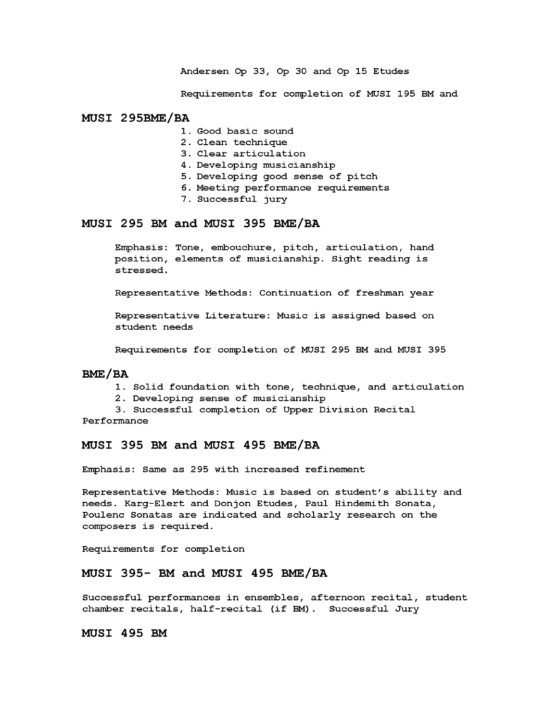**Andersen Op 33, Op 30 and Op 15 Etudes**

**Requirements for completion of MUSI 195 BM and**

#### **MUSI 295BME/BA**

- **1. Good basic sound**
- **2 . Clean technique**
- **3. Clear articulation**
- **4 . Developing musicianship**
- **5. Developing good sense of pitch**
- **6. Meeting performance requirements**
- **7. Successful jury**

#### **MUSI 295 BM and MUSI 395 BME/BA**

**Emphasis: Tone, embouchure, pitch, articulation, hand position, elements of musicianship. Sight reading is stressed.**

**Representative Methods: Continuation of freshman year**

**Representative Literature: Music is assigned based on student needs**

**Requirements for completion of MUSI 2 95 BM and MUSI 395**

#### **BME/BA**

- **1. Solid foundation with tone, technique, and articulation**
- **2. Developing sense of musicianship**

**3. Successful completion of Upper Division Recital**

**Performance**

#### **MUSI 395 BM and MUSI 495 BME/BA**

**Emphasis: Same as 2 95 with increased refinement**

**Representative Methods: Music is based on student's ability and needs. Karg-Elert and Donjon Etudes, Paul Hindemith Sonata, Poulenc Sonatas are indicated and scholarly research on the composers is required.**

**Requirements for completion**

#### **MUSI 395- BM and MUSI 495 BME/BA**

**Successful performances in ensembles, afternoon recital, student** chamber recitals, half-recital (if BM). Successful Jury

**MUSI 495 BM**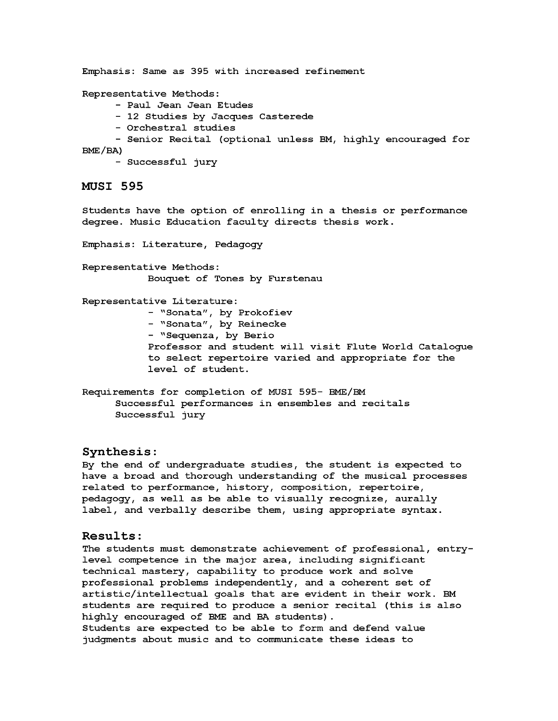**Emphasis: Same as 395 with increased refinement**

**Representative Methods:**

- **Paul Jean Jean Etudes**
- **12 Studies by Jacques Casterede**
- **Orchestral studies**
- **Senior Recital (optional unless BM, highly encouraged for BME/BA)**
	- **Successful jury**

#### **MUSI 595**

**Students have the option of enrolling in a thesis or performance degree. Music Education faculty directs thesis work.**

**Emphasis: Literature, Pedagogy**

**Representative Methods: Bouquet of Tones by Furstenau**

**Representative Literature:**

**- "Sonata", by Prokofiev**

- **"Sonata", by Reinecke**
- **"Sequenza, by Berio**

**Professor and student will visit Flute World Catalogue to select repertoire varied and appropriate for the level of student.**

**Requirements for completion of MUSI 595- EME/EM Successful performances in ensembles and recitals Successful jury**

#### **Synthesis:**

**By the end of undergraduate studies, the student is expected to have a broad and thorough understanding of the musical processes related to performance, history, composition, repertoire, pedagogy, as well as be able to visually recognize, aurally label, and verbally describe them, using appropriate syntax.**

#### **Results:**

**The students must demonstrate achievement of professional, entrylevel competence in the major area, including significant technical mastery, capability to produce work and solve professional problems independently, and a coherent set of artistic/intellectual goals that are evident in their work. BM students are required to produce a senior recital (this is also highly encouraged of BME and BA students). Students are expected to be able to form and defend value judgments about music and to communicate these ideas to**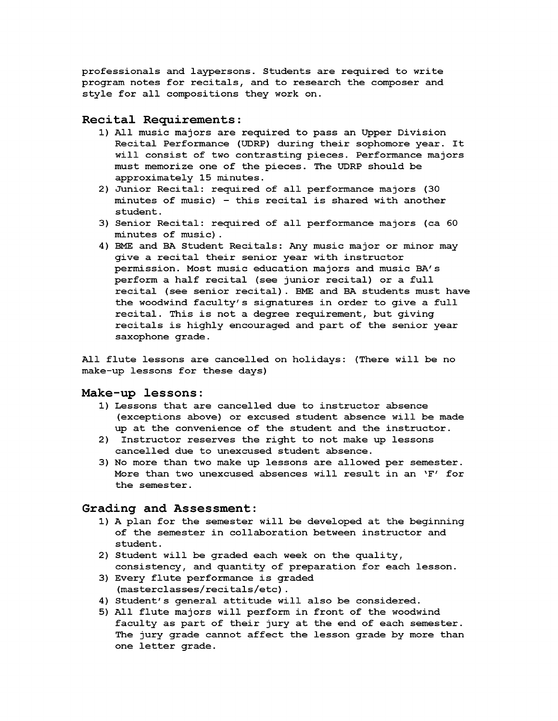**professionals and laypersons. Students are required to write program notes for recitals, and to research the composer and style for all compositions they work on.**

#### **Recital Requirements:**

- **1) All music majors are required to pass an Upper Division Recital Performance (UDRP) during their sophomore year. It will consist of two contrasting pieces. Performance majors must memorize one of the pieces. The UDRP should be approximately 15 minutes.**
- **2) Junior Recital: required of all performance majors (30 minutes of music) — this recital is shared with another student.**
- **3) Senior Recital: required of all performance majors (ca 60 minutes of music).**
- **4) BME and BA Student Recitals: Any music major or minor may give a recital their senior year with instructor permission. Most music education majors and music BA's perform a half recital (see junior recital) or a full recital (see senior recital). BME and BA students must have the woodwind faculty's signatures in order to give a full recital. This is not a degree requirement, but giving recitals is highly encouraged and part of the senior year saxophone grade.**

**All flute lessons are cancelled on holidays: (There will be no make-up lessons for these days)**

#### **Make-up lessons:**

- **1) Lessons that are cancelled due to instructor absence (exceptions above) or excused student absence will be made up at the convenience of the student and the instructor.**
- **2) Instructor reserves the right to not make up lessons cancelled due to unexcused student absence.**
- **3) No more than two make up lessons are allowed per semester. More than two unexcused absences will result in an 'F' for the semester.**

#### **Grading and Assessment:**

- **1) A plan for the semester will be developed at the beginning of the semester in collaboration between instructor and student.**
- **2) Student will be graded each week on the quality, consistency, and quantity of preparation for each lesson.**
- **3) Every flute performance is graded (masterclasses/recitals/etc).**
- **4) Student's general attitude will also be considered.**
- **5) All flute majors will perform in front of the woodwind faculty as part of their jury at the end of each semester. The jury grade cannot affect the lesson grade by more than one letter grade.**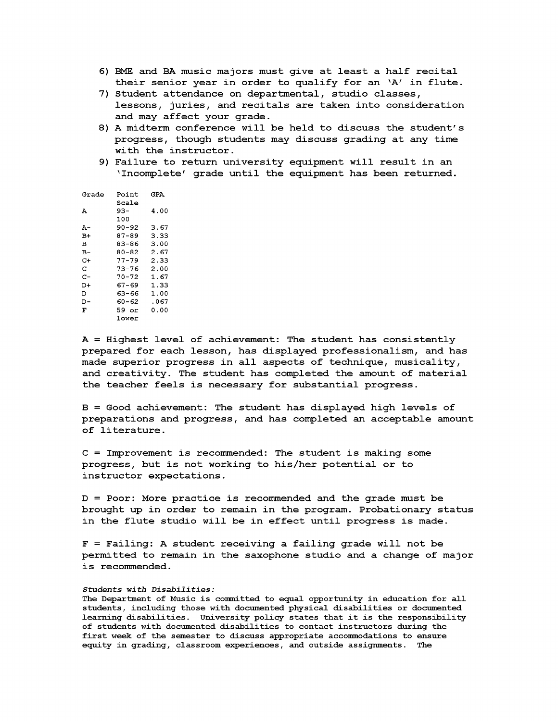- **6) BME and BA music majors must give at least a half recital their senior year in order to qualify for an 'A' in flute.**
- **7) Student attendance on departmental, studio classes, lessons, juries, and recitals are taken into consideration and may affect your grade.**
- **8) A midterm conference will be held to discuss the student's progress, though students may discuss grading at any time with the instructor.**
- **9) Failure to return university equipment will result in an 'Incomplete***'* **grade until the equipment has been returned.**

| Grade | Point | GPA   |
|-------|-------|-------|
|       | Scale |       |
| А     | 93–   | 4.00  |
|       | 100   |       |
| A-    | 90-92 | 3.67  |
| B+    | 87-89 | 3.33  |
| в     | 83-86 | 3.00  |
| в-    | 80-82 | 2.67  |
| C+    | 77–79 | 2.33  |
| c     | 73–76 | 2.00  |
| с-    | 70–72 | 1.67  |
| D+    | 67-69 | 1.33  |
| D     | 63-66 | 1.00  |
| D-    | 60-62 | .067  |
| F     | 59 or | ი. იი |
|       | lower |       |

**A = Highest level of achievement: The student has consistently prepared for each lesson, has displayed professionalism, and has made superior progress in all aspects of technique, musicality, and creativity. The student has completed the amount of material the teacher feels is necessary for substantial progress.**

**B = Good achievement: The student has displayed high levels of preparations and progress, and has completed an acceptable amount of literature.**

**C = Improvement is recommended: The student is making some progress, but is not working to his/her potential or to instructor expectations.**

**D = Poor: More practice is recommended and the grade must be brought up in order to remain in the program. Probationary status in the flute studio will be in effect until progress is made.**

**F = Failing: A student receiving a failing grade will not be permitted to remain in the saxophone studio and a change of major i s re commended.**

#### *Students with Disabilities:*

**The Department of Music is committed to equal opportunity in education for all students, including those with documented physical disabilities or documented learning disabilities. University policy states that it is the responsibility of students with documented disabilities to contact instructors during the first week of the semester to discuss appropriate accommodations to ensure equity in grading, classroom experiences, and outside assignments. The**